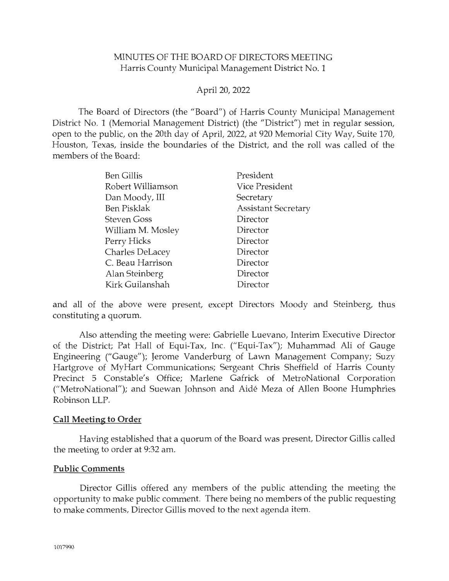### MINUTES OF THE BOARD OF DIRECTORS MEETING Harris County Municipal Management District No. 1

### April 20, 2022

The Board of Directors (the "Board") of Harris County Municipal Management District No. 1 (Memorial Management District) (the "District") met in regular session, open to the public, on the 20th day of April, 2022, at 920 Memorial City Way, Suite 170, Houston, Texas, inside the boundaries of the District, and the roll was called of the members of the Board:

| <b>Ben Gillis</b>  | President                  |
|--------------------|----------------------------|
| Robert Williamson  | <b>Vice President</b>      |
| Dan Moody, III     | Secretary                  |
| <b>Ben Pisklak</b> | <b>Assistant Secretary</b> |
| <b>Steven Goss</b> | Director                   |
| William M. Mosley  | Director                   |
| Perry Hicks        | Director                   |
| Charles DeLacey    | Director                   |
| C. Beau Harrison   | Director                   |
| Alan Steinberg     | Director                   |
| Kirk Guilanshah    | Director                   |

and all of the above were present, except Directors Moody and Steinberg, thus constituting a quorum.

Also attending the meeting were: Gabrielle Luevano, Interim Executive Director of the District; Pat Hall of Equi-Tax, Inc. ("Equi-Tax"); Muhammad Ali of Gauge Engineering ("Gauge"); Jerome Vanderburg of Lawn Management Company; Suzy Hartgrove of MyHart Communications; Sergeant Chris Sheffield of Harris County Precinct 5 Constable's Office; Marlene Gafrick of MetroNational Corporation ("MetroNational"); and Suewan Johnson and Aide Meza of Allen Boone Humphries Robinson LLP.

#### **Call Meeting to Order**

Having established that a quorum of the Board was present, Director Gillis called the meeting to order at 9:32 am.

#### **Public Comments**

Director Gillis offered any members of the public attending the meeting the opportunity to make public comment. There being no members of the public requesting to make comments, Director Gillis moved to the next agenda item.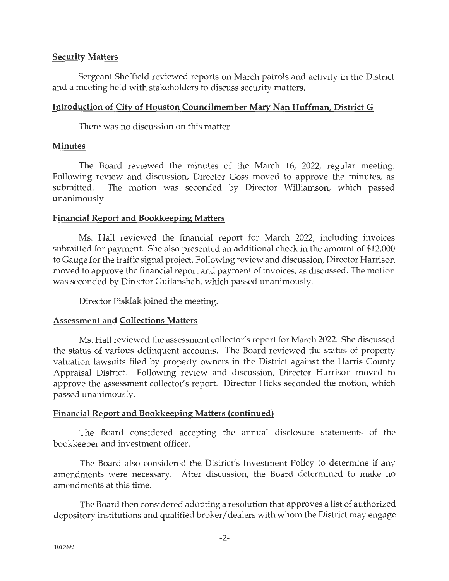# **Security Matters**

Sergeant Sheffield reviewed reports on March patrols and activity in the District and a meeting held with stakeholders to discuss security matters.

### **Introduction of City of Houston Councilmember Mary Nan Huffman, District G**

There was no discussion on this matter.

### **Minutes**

The Board reviewed the minutes of the March 16, 2022, regular meeting. Following review and discussion, Director Goss moved to approve the minutes, as submitted. The motion was seconded by Director Williamson, which passed unanimously.

# **Financial Report and Bookkeeping Matters**

Ms. Hall reviewed the financial report for March 2022, including invoices submitted for payment. She also presented an additional check in the amount of \$12,000 to Gauge for the traffic signal project. Following review and discussion, Director Harrison moved to approve the financial report and payment of invoices, as discussed. The motion was seconded by Director Guilanshah, which passed unanimously.

Director Pisklak joined the meeting.

### **Assessment and Collections Matters**

Ms. Hall reviewed the assessment collector's report for March 2022. She discussed the status of various delinquent accounts. The Board reviewed the status of property valuation lawsuits filed by property owners in the District against the Harris County Appraisal District. Following review and discussion, Director Harrison moved to approve the assessment collector's report. Director Hicks seconded the motion, which passed unanimously.

### **Financial Report and Bookkeeping Matters (continued)**

The Board considered accepting the annual disclosure statements of the bookkeeper and investment officer.

The Board also considered the District's Investment Policy to determine if any amendments were necessary. After discussion, the Board determined to make no amendments at this time.

The Board then considered adopting a resolution that approves a list of authorized depository institutions and qualified broker/ dealers with whom the District may engage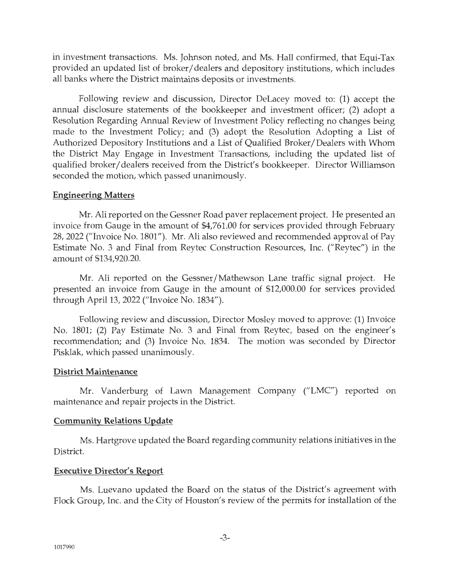in investment transactions. Ms. Johnson noted, and Ms. Hall confirmed, that Equi-Tax provided an updated list of broker/ dealers and depository institutions, which includes all banks where the District maintains deposits or investments.

Following review and discussion, Director DeLacey moved to: (1) accept the annual disclosure statements of the bookkeeper and investment officer; (2) adopt a Resolution Regarding Annual Review of Investment Policy reflecting no changes being made to the Investment Policy; and (3) adopt the Resolution Adopting a List of Authorized Depository Institutions and a List of Qualified Broker/Dealers with Whom the District May Engage in Investment Transactions, including the updated list of qualified broker/ dealers received from the District's bookkeeper. Director Williamson seconded the motion, which passed unanimously.

#### **Engineering Matters**

Mr. Ali reported on the Gessner Road paver replacement project. He presented an invoice from Gauge in the amount of \$4,761.00 for services provided through February 28, 2022 ("Invoice No. 1801"). Mr. Ali also reviewed and recommended approval of Pay Estimate No. 3 and Final from Reytec Construction Resources, Inc. ("Reytec") in the amount of \$134,920.20.

Mr. Ali reported on the Gessner/Mathewson Lane traffic signal project. He presented an invoice from Gauge in the amount of \$12,000.00 for services provided through April 13, 2022 ("Invoice No. 1834").

Following review and discussion, Director Mosley moved to approve: (1) Invoice No. 1801; (2) Pay Estimate No. 3 and Final from Reytec, based on the engineer's recommendation; and (3) Invoice No. 1834. The motion was seconded by Director Pisklak, which passed unanimously.

### **District Maintenance**

Mr. Vanderburg of Lawn Management Company ("LMC") reported on maintenance and repair projects in the District.

### **Community Relations Update**

Ms. Hartgrove updated the Board regarding community relations initiatives in the District.

# **Executive Director's Report**

Ms. Luevano updated the Board on the status of the District's agreement with Flock Group, Inc. and the City of Houston's review of the permits for installation of the